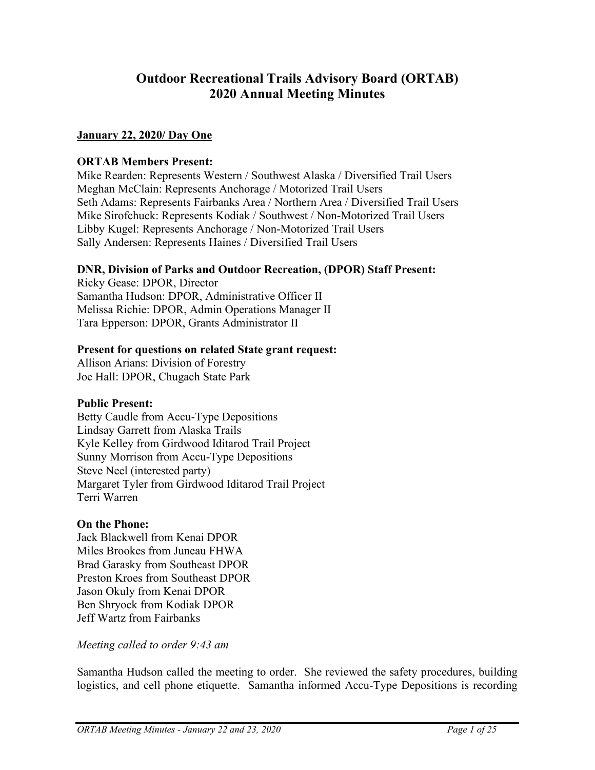# **Outdoor Recreational Trails Advisory Board (ORTAB) 2020 Annual Meeting Minutes**

# **January 22, 2020/ Day One**

# **ORTAB Members Present:**

Mike Rearden: Represents Western / Southwest Alaska / Diversified Trail Users Meghan McClain: Represents Anchorage / Motorized Trail Users Seth Adams: Represents Fairbanks Area / Northern Area / Diversified Trail Users Mike Sirofchuck: Represents Kodiak / Southwest / Non-Motorized Trail Users Libby Kugel: Represents Anchorage / Non-Motorized Trail Users Sally Andersen: Represents Haines / Diversified Trail Users

# **DNR, Division of Parks and Outdoor Recreation, (DPOR) Staff Present:**

Ricky Gease: DPOR, Director Samantha Hudson: DPOR, Administrative Officer II Melissa Richie: DPOR, Admin Operations Manager II Tara Epperson: DPOR, Grants Administrator II

# **Present for questions on related State grant request:**

Allison Arians: Division of Forestry Joe Hall: DPOR, Chugach State Park

# **Public Present:**

Betty Caudle from Accu-Type Depositions Lindsay Garrett from Alaska Trails Kyle Kelley from Girdwood Iditarod Trail Project Sunny Morrison from Accu-Type Depositions Steve Neel (interested party) Margaret Tyler from Girdwood Iditarod Trail Project Terri Warren

# **On the Phone:**

Jack Blackwell from Kenai DPOR Miles Brookes from Juneau FHWA Brad Garasky from Southeast DPOR Preston Kroes from Southeast DPOR Jason Okuly from Kenai DPOR Ben Shryock from Kodiak DPOR Jeff Wartz from Fairbanks

*Meeting called to order 9:43 am*

Samantha Hudson called the meeting to order. She reviewed the safety procedures, building logistics, and cell phone etiquette. Samantha informed Accu-Type Depositions is recording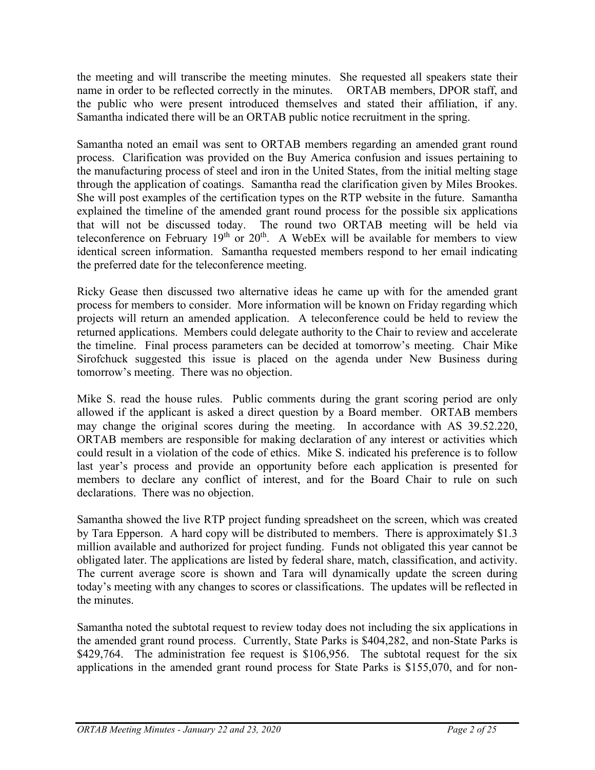the meeting and will transcribe the meeting minutes. She requested all speakers state their name in order to be reflected correctly in the minutes. ORTAB members, DPOR staff, and the public who were present introduced themselves and stated their affiliation, if any. Samantha indicated there will be an ORTAB public notice recruitment in the spring.

Samantha noted an email was sent to ORTAB members regarding an amended grant round process. Clarification was provided on the Buy America confusion and issues pertaining to the manufacturing process of steel and iron in the United States, from the initial melting stage through the application of coatings. Samantha read the clarification given by Miles Brookes. She will post examples of the certification types on the RTP website in the future. Samantha explained the timeline of the amended grant round process for the possible six applications that will not be discussed today. The round two ORTAB meeting will be held via teleconference on February  $19<sup>th</sup>$  or  $20<sup>th</sup>$ . A WebEx will be available for members to view identical screen information. Samantha requested members respond to her email indicating the preferred date for the teleconference meeting.

Ricky Gease then discussed two alternative ideas he came up with for the amended grant process for members to consider. More information will be known on Friday regarding which projects will return an amended application. A teleconference could be held to review the returned applications. Members could delegate authority to the Chair to review and accelerate the timeline. Final process parameters can be decided at tomorrow's meeting. Chair Mike Sirofchuck suggested this issue is placed on the agenda under New Business during tomorrow's meeting. There was no objection.

Mike S. read the house rules. Public comments during the grant scoring period are only allowed if the applicant is asked a direct question by a Board member. ORTAB members may change the original scores during the meeting. In accordance with AS 39.52.220, ORTAB members are responsible for making declaration of any interest or activities which could result in a violation of the code of ethics. Mike S. indicated his preference is to follow last year's process and provide an opportunity before each application is presented for members to declare any conflict of interest, and for the Board Chair to rule on such declarations. There was no objection.

Samantha showed the live RTP project funding spreadsheet on the screen, which was created by Tara Epperson. A hard copy will be distributed to members. There is approximately \$1.3 million available and authorized for project funding. Funds not obligated this year cannot be obligated later. The applications are listed by federal share, match, classification, and activity. The current average score is shown and Tara will dynamically update the screen during today's meeting with any changes to scores or classifications. The updates will be reflected in the minutes.

Samantha noted the subtotal request to review today does not including the six applications in the amended grant round process. Currently, State Parks is \$404,282, and non-State Parks is \$429,764. The administration fee request is \$106,956. The subtotal request for the six applications in the amended grant round process for State Parks is \$155,070, and for non-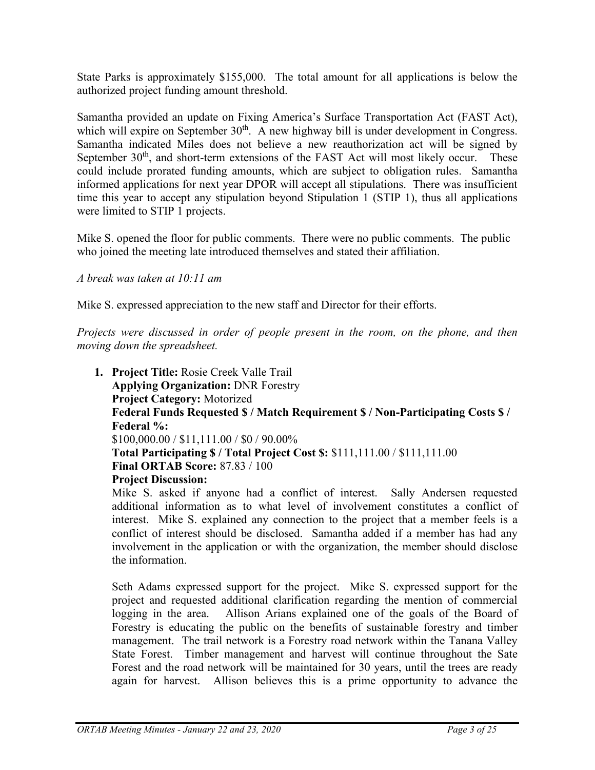State Parks is approximately \$155,000. The total amount for all applications is below the authorized project funding amount threshold.

Samantha provided an update on Fixing America's Surface Transportation Act (FAST Act), which will expire on September  $30<sup>th</sup>$ . A new highway bill is under development in Congress. Samantha indicated Miles does not believe a new reauthorization act will be signed by September  $30<sup>th</sup>$ , and short-term extensions of the FAST Act will most likely occur. These could include prorated funding amounts, which are subject to obligation rules. Samantha informed applications for next year DPOR will accept all stipulations. There was insufficient time this year to accept any stipulation beyond Stipulation 1 (STIP 1), thus all applications were limited to STIP 1 projects.

Mike S. opened the floor for public comments. There were no public comments. The public who joined the meeting late introduced themselves and stated their affiliation.

*A break was taken at 10:11 am*

Mike S. expressed appreciation to the new staff and Director for their efforts.

*Projects were discussed in order of people present in the room, on the phone, and then moving down the spreadsheet.* 

**1. Project Title:** Rosie Creek Valle Trail **Applying Organization:** DNR Forestry **Project Category:** Motorized **Federal Funds Requested \$ / Match Requirement \$ / Non-Participating Costs \$ / Federal %:** \$100,000.00 / \$11,111.00 / \$0 / 90.00% **Total Participating \$ / Total Project Cost \$:** \$111,111.00 / \$111,111.00 **Final ORTAB Score:** 87.83 / 100 **Project Discussion:**

Mike S. asked if anyone had a conflict of interest. Sally Andersen requested additional information as to what level of involvement constitutes a conflict of interest. Mike S. explained any connection to the project that a member feels is a conflict of interest should be disclosed. Samantha added if a member has had any involvement in the application or with the organization, the member should disclose the information.

Seth Adams expressed support for the project. Mike S. expressed support for the project and requested additional clarification regarding the mention of commercial logging in the area. Allison Arians explained one of the goals of the Board of Forestry is educating the public on the benefits of sustainable forestry and timber management. The trail network is a Forestry road network within the Tanana Valley State Forest. Timber management and harvest will continue throughout the Sate Forest and the road network will be maintained for 30 years, until the trees are ready again for harvest. Allison believes this is a prime opportunity to advance the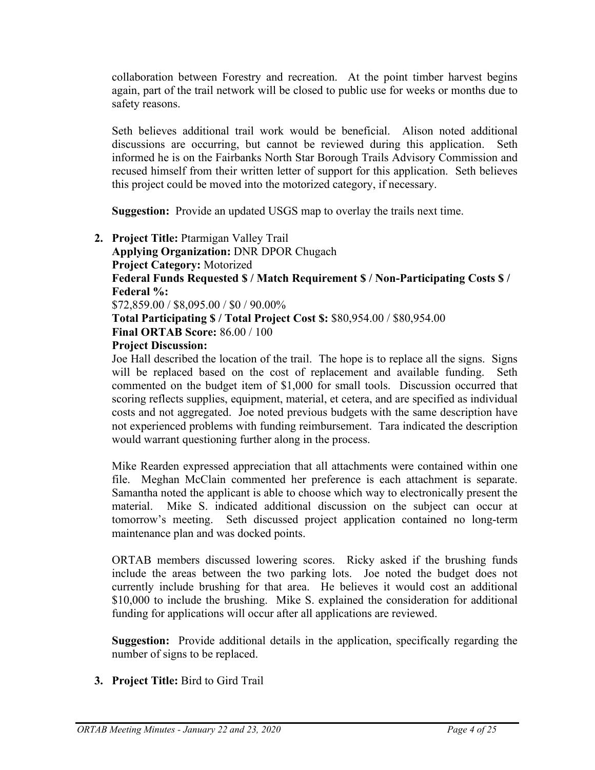collaboration between Forestry and recreation. At the point timber harvest begins again, part of the trail network will be closed to public use for weeks or months due to safety reasons.

Seth believes additional trail work would be beneficial. Alison noted additional discussions are occurring, but cannot be reviewed during this application. Seth informed he is on the Fairbanks North Star Borough Trails Advisory Commission and recused himself from their written letter of support for this application. Seth believes this project could be moved into the motorized category, if necessary.

**Suggestion:** Provide an updated USGS map to overlay the trails next time.

**2. Project Title:** Ptarmigan Valley Trail **Applying Organization:** DNR DPOR Chugach **Project Category:** Motorized **Federal Funds Requested \$ / Match Requirement \$ / Non-Participating Costs \$ / Federal %:** \$72,859.00 / \$8,095.00 / \$0 / 90.00% **Total Participating \$ / Total Project Cost \$:** \$80,954.00 / \$80,954.00 **Final ORTAB Score:** 86.00 / 100 **Project Discussion:**

Joe Hall described the location of the trail. The hope is to replace all the signs. Signs will be replaced based on the cost of replacement and available funding. Seth commented on the budget item of \$1,000 for small tools. Discussion occurred that scoring reflects supplies, equipment, material, et cetera, and are specified as individual costs and not aggregated. Joe noted previous budgets with the same description have not experienced problems with funding reimbursement. Tara indicated the description would warrant questioning further along in the process.

Mike Rearden expressed appreciation that all attachments were contained within one file. Meghan McClain commented her preference is each attachment is separate. Samantha noted the applicant is able to choose which way to electronically present the material. Mike S. indicated additional discussion on the subject can occur at tomorrow's meeting. Seth discussed project application contained no long-term maintenance plan and was docked points.

ORTAB members discussed lowering scores. Ricky asked if the brushing funds include the areas between the two parking lots. Joe noted the budget does not currently include brushing for that area. He believes it would cost an additional \$10,000 to include the brushing. Mike S. explained the consideration for additional funding for applications will occur after all applications are reviewed.

**Suggestion:** Provide additional details in the application, specifically regarding the number of signs to be replaced.

**3. Project Title:** Bird to Gird Trail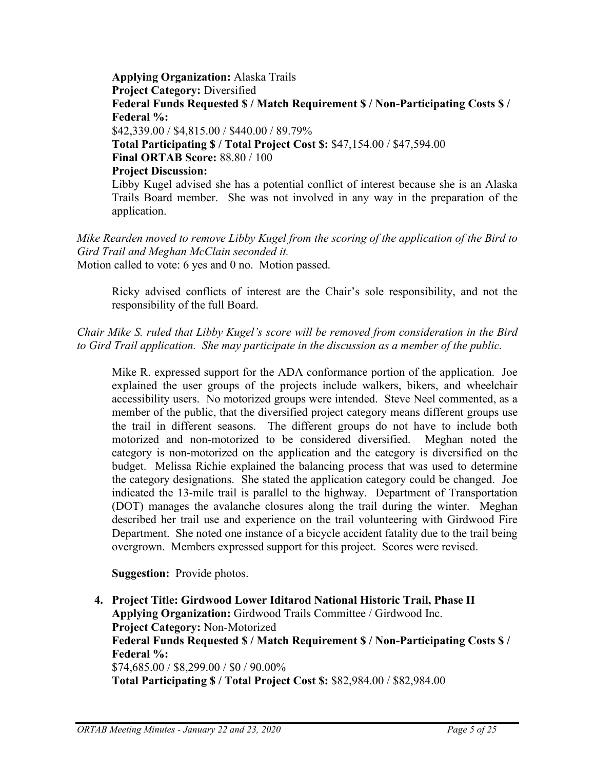**Applying Organization:** Alaska Trails **Project Category:** Diversified **Federal Funds Requested \$ / Match Requirement \$ / Non-Participating Costs \$ / Federal %:** \$42,339.00 / \$4,815.00 / \$440.00 / 89.79% **Total Participating \$ / Total Project Cost \$:** \$47,154.00 / \$47,594.00 **Final ORTAB Score:** 88.80 / 100 **Project Discussion:** Libby Kugel advised she has a potential conflict of interest because she is an Alaska Trails Board member. She was not involved in any way in the preparation of the application.

*Mike Rearden moved to remove Libby Kugel from the scoring of the application of the Bird to Gird Trail and Meghan McClain seconded it.* Motion called to vote: 6 yes and 0 no. Motion passed.

Ricky advised conflicts of interest are the Chair's sole responsibility, and not the responsibility of the full Board.

*Chair Mike S. ruled that Libby Kugel's score will be removed from consideration in the Bird to Gird Trail application. She may participate in the discussion as a member of the public.*

Mike R. expressed support for the ADA conformance portion of the application. Joe explained the user groups of the projects include walkers, bikers, and wheelchair accessibility users. No motorized groups were intended. Steve Neel commented, as a member of the public, that the diversified project category means different groups use the trail in different seasons. The different groups do not have to include both motorized and non-motorized to be considered diversified. Meghan noted the category is non-motorized on the application and the category is diversified on the budget. Melissa Richie explained the balancing process that was used to determine the category designations. She stated the application category could be changed. Joe indicated the 13-mile trail is parallel to the highway. Department of Transportation (DOT) manages the avalanche closures along the trail during the winter. Meghan described her trail use and experience on the trail volunteering with Girdwood Fire Department. She noted one instance of a bicycle accident fatality due to the trail being overgrown. Members expressed support for this project. Scores were revised.

**Suggestion:** Provide photos.

**4. Project Title: Girdwood Lower Iditarod National Historic Trail, Phase II Applying Organization:** Girdwood Trails Committee / Girdwood Inc. **Project Category:** Non-Motorized **Federal Funds Requested \$ / Match Requirement \$ / Non-Participating Costs \$ / Federal %:** \$74,685.00 / \$8,299.00 / \$0 / 90.00% **Total Participating \$ / Total Project Cost \$:** \$82,984.00 / \$82,984.00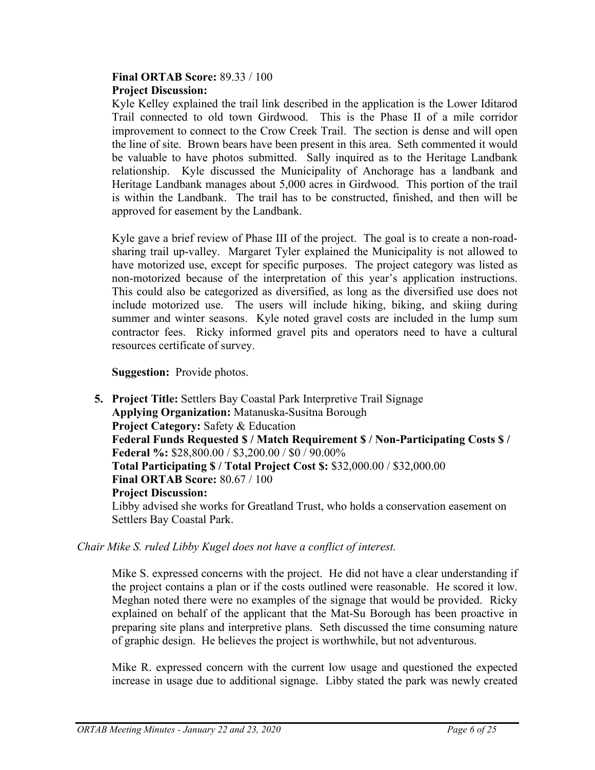### **Final ORTAB Score:** 89.33 / 100 **Project Discussion:**

Kyle Kelley explained the trail link described in the application is the Lower Iditarod Trail connected to old town Girdwood. This is the Phase II of a mile corridor improvement to connect to the Crow Creek Trail. The section is dense and will open the line of site. Brown bears have been present in this area. Seth commented it would be valuable to have photos submitted. Sally inquired as to the Heritage Landbank relationship. Kyle discussed the Municipality of Anchorage has a landbank and Heritage Landbank manages about 5,000 acres in Girdwood. This portion of the trail is within the Landbank. The trail has to be constructed, finished, and then will be approved for easement by the Landbank.

Kyle gave a brief review of Phase III of the project. The goal is to create a non-roadsharing trail up-valley. Margaret Tyler explained the Municipality is not allowed to have motorized use, except for specific purposes. The project category was listed as non-motorized because of the interpretation of this year's application instructions. This could also be categorized as diversified, as long as the diversified use does not include motorized use. The users will include hiking, biking, and skiing during summer and winter seasons. Kyle noted gravel costs are included in the lump sum contractor fees. Ricky informed gravel pits and operators need to have a cultural resources certificate of survey.

**Suggestion:** Provide photos.

**5. Project Title:** Settlers Bay Coastal Park Interpretive Trail Signage **Applying Organization:** Matanuska-Susitna Borough **Project Category:** Safety & Education **Federal Funds Requested \$ / Match Requirement \$ / Non-Participating Costs \$ / Federal %:** \$28,800.00 / \$3,200.00 / \$0 / 90.00% **Total Participating \$ / Total Project Cost \$:** \$32,000.00 / \$32,000.00 **Final ORTAB Score:** 80.67 / 100 **Project Discussion:** Libby advised she works for Greatland Trust, who holds a conservation easement on Settlers Bay Coastal Park.

*Chair Mike S. ruled Libby Kugel does not have a conflict of interest.*

Mike S. expressed concerns with the project. He did not have a clear understanding if the project contains a plan or if the costs outlined were reasonable. He scored it low. Meghan noted there were no examples of the signage that would be provided. Ricky explained on behalf of the applicant that the Mat-Su Borough has been proactive in preparing site plans and interpretive plans. Seth discussed the time consuming nature of graphic design. He believes the project is worthwhile, but not adventurous.

Mike R. expressed concern with the current low usage and questioned the expected increase in usage due to additional signage. Libby stated the park was newly created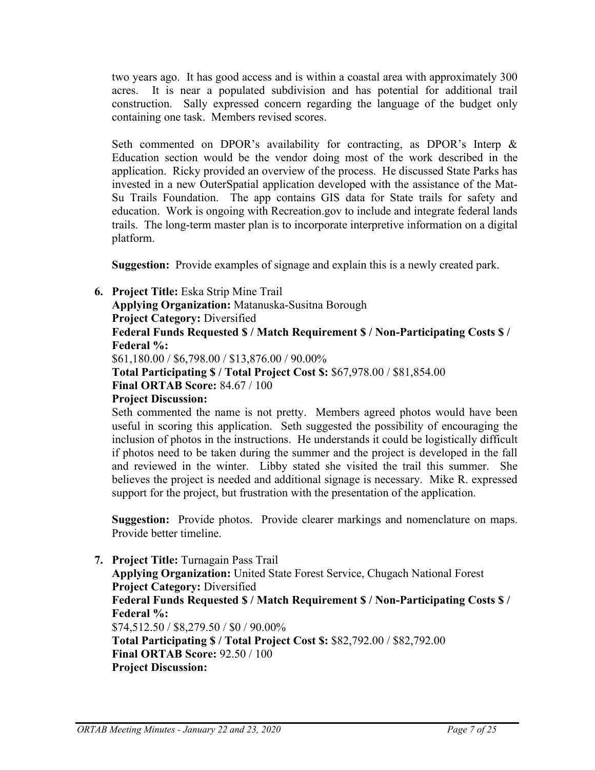two years ago. It has good access and is within a coastal area with approximately 300 acres. It is near a populated subdivision and has potential for additional trail construction. Sally expressed concern regarding the language of the budget only containing one task. Members revised scores.

Seth commented on DPOR's availability for contracting, as DPOR's Interp & Education section would be the vendor doing most of the work described in the application. Ricky provided an overview of the process. He discussed State Parks has invested in a new OuterSpatial application developed with the assistance of the Mat-Su Trails Foundation. The app contains GIS data for State trails for safety and education. Work is ongoing with Recreation.gov to include and integrate federal lands trails. The long-term master plan is to incorporate interpretive information on a digital platform.

**Suggestion:** Provide examples of signage and explain this is a newly created park.

**6. Project Title:** Eska Strip Mine Trail

**Applying Organization:** Matanuska-Susitna Borough **Project Category:** Diversified **Federal Funds Requested \$ / Match Requirement \$ / Non-Participating Costs \$ / Federal %:**

\$61,180.00 / \$6,798.00 / \$13,876.00 / 90.00%

**Total Participating \$ / Total Project Cost \$:** \$67,978.00 / \$81,854.00 **Final ORTAB Score:** 84.67 / 100

**Project Discussion:**

Seth commented the name is not pretty. Members agreed photos would have been useful in scoring this application. Seth suggested the possibility of encouraging the inclusion of photos in the instructions. He understands it could be logistically difficult if photos need to be taken during the summer and the project is developed in the fall and reviewed in the winter. Libby stated she visited the trail this summer. She believes the project is needed and additional signage is necessary. Mike R. expressed support for the project, but frustration with the presentation of the application.

**Suggestion:** Provide photos. Provide clearer markings and nomenclature on maps. Provide better timeline.

**7. Project Title:** Turnagain Pass Trail **Applying Organization:** United State Forest Service, Chugach National Forest **Project Category:** Diversified **Federal Funds Requested \$ / Match Requirement \$ / Non-Participating Costs \$ / Federal %:** \$74,512.50 / \$8,279.50 / \$0 / 90.00% **Total Participating \$ / Total Project Cost \$:** \$82,792.00 / \$82,792.00 **Final ORTAB Score:** 92.50 / 100 **Project Discussion:**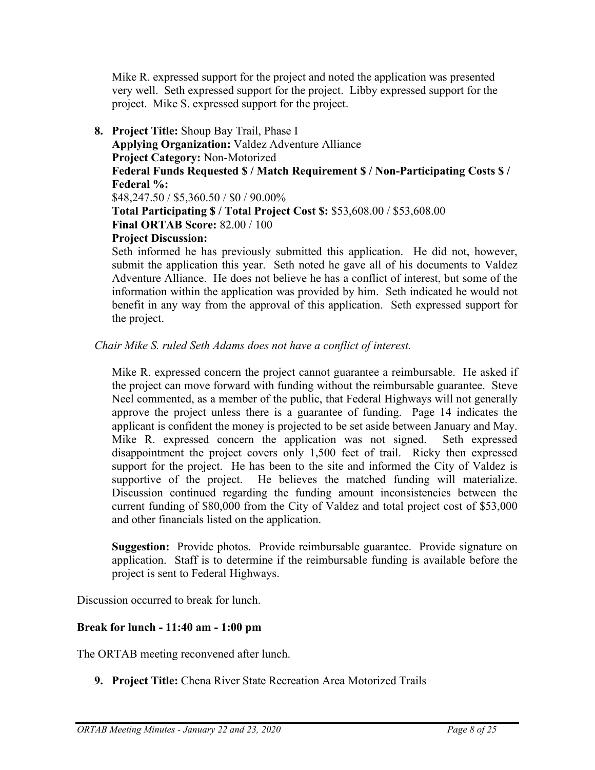Mike R. expressed support for the project and noted the application was presented very well. Seth expressed support for the project. Libby expressed support for the project. Mike S. expressed support for the project.

**8. Project Title:** Shoup Bay Trail, Phase I **Applying Organization:** Valdez Adventure Alliance **Project Category:** Non-Motorized **Federal Funds Requested \$ / Match Requirement \$ / Non-Participating Costs \$ / Federal %:** \$48,247.50 / \$5,360.50 / \$0 / 90.00% **Total Participating \$ / Total Project Cost \$:** \$53,608.00 / \$53,608.00 **Final ORTAB Score:** 82.00 / 100 **Project Discussion:**

Seth informed he has previously submitted this application. He did not, however, submit the application this year. Seth noted he gave all of his documents to Valdez Adventure Alliance. He does not believe he has a conflict of interest, but some of the information within the application was provided by him. Seth indicated he would not benefit in any way from the approval of this application. Seth expressed support for the project.

# *Chair Mike S. ruled Seth Adams does not have a conflict of interest.*

Mike R. expressed concern the project cannot guarantee a reimbursable. He asked if the project can move forward with funding without the reimbursable guarantee. Steve Neel commented, as a member of the public, that Federal Highways will not generally approve the project unless there is a guarantee of funding. Page 14 indicates the applicant is confident the money is projected to be set aside between January and May. Mike R. expressed concern the application was not signed. Seth expressed disappointment the project covers only 1,500 feet of trail. Ricky then expressed support for the project. He has been to the site and informed the City of Valdez is supportive of the project. He believes the matched funding will materialize. Discussion continued regarding the funding amount inconsistencies between the current funding of \$80,000 from the City of Valdez and total project cost of \$53,000 and other financials listed on the application.

**Suggestion:** Provide photos. Provide reimbursable guarantee. Provide signature on application. Staff is to determine if the reimbursable funding is available before the project is sent to Federal Highways.

Discussion occurred to break for lunch.

# **Break for lunch - 11:40 am - 1:00 pm**

The ORTAB meeting reconvened after lunch.

**9. Project Title:** Chena River State Recreation Area Motorized Trails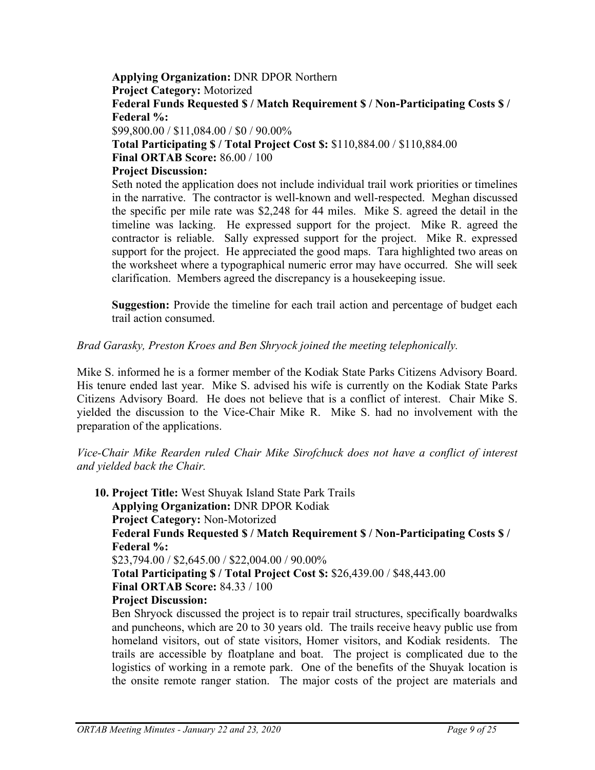#### **Applying Organization:** DNR DPOR Northern **Project Category:** Motorized **Federal Funds Requested \$ / Match Requirement \$ / Non-Participating Costs \$ / Federal %:**

\$99,800.00 / \$11,084.00 / \$0 / 90.00%

**Total Participating \$ / Total Project Cost \$:** \$110,884.00 / \$110,884.00

**Final ORTAB Score:** 86.00 / 100

# **Project Discussion:**

Seth noted the application does not include individual trail work priorities or timelines in the narrative. The contractor is well-known and well-respected. Meghan discussed the specific per mile rate was \$2,248 for 44 miles. Mike S. agreed the detail in the timeline was lacking. He expressed support for the project. Mike R. agreed the contractor is reliable. Sally expressed support for the project. Mike R. expressed support for the project. He appreciated the good maps. Tara highlighted two areas on the worksheet where a typographical numeric error may have occurred. She will seek clarification. Members agreed the discrepancy is a housekeeping issue.

**Suggestion:** Provide the timeline for each trail action and percentage of budget each trail action consumed.

*Brad Garasky, Preston Kroes and Ben Shryock joined the meeting telephonically.*

Mike S. informed he is a former member of the Kodiak State Parks Citizens Advisory Board. His tenure ended last year. Mike S. advised his wife is currently on the Kodiak State Parks Citizens Advisory Board. He does not believe that is a conflict of interest. Chair Mike S. yielded the discussion to the Vice-Chair Mike R. Mike S. had no involvement with the preparation of the applications.

*Vice-Chair Mike Rearden ruled Chair Mike Sirofchuck does not have a conflict of interest and yielded back the Chair.*

**10. Project Title:** West Shuyak Island State Park Trails **Applying Organization:** DNR DPOR Kodiak **Project Category:** Non-Motorized **Federal Funds Requested \$ / Match Requirement \$ / Non-Participating Costs \$ / Federal %:** \$23,794.00 / \$2,645.00 / \$22,004.00 / 90.00% **Total Participating \$ / Total Project Cost \$:** \$26,439.00 / \$48,443.00 **Final ORTAB Score:** 84.33 / 100 **Project Discussion:** Ben Shryock discussed the project is to repair trail structures, specifically boardwalks

and puncheons, which are 20 to 30 years old. The trails receive heavy public use from homeland visitors, out of state visitors, Homer visitors, and Kodiak residents. The trails are accessible by floatplane and boat. The project is complicated due to the logistics of working in a remote park. One of the benefits of the Shuyak location is the onsite remote ranger station. The major costs of the project are materials and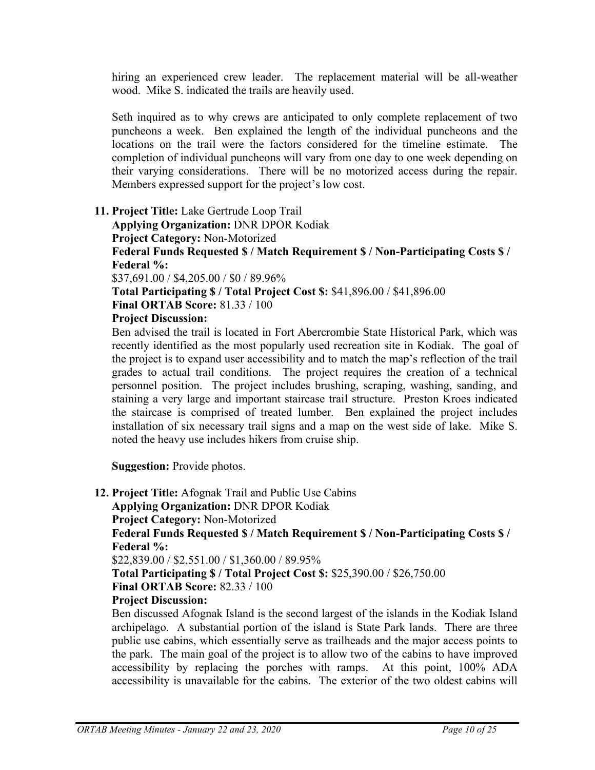hiring an experienced crew leader. The replacement material will be all-weather wood. Mike S. indicated the trails are heavily used.

Seth inquired as to why crews are anticipated to only complete replacement of two puncheons a week. Ben explained the length of the individual puncheons and the locations on the trail were the factors considered for the timeline estimate. The completion of individual puncheons will vary from one day to one week depending on their varying considerations. There will be no motorized access during the repair. Members expressed support for the project's low cost.

**11. Project Title:** Lake Gertrude Loop Trail

**Applying Organization:** DNR DPOR Kodiak **Project Category:** Non-Motorized **Federal Funds Requested \$ / Match Requirement \$ / Non-Participating Costs \$ / Federal %:**

\$37,691.00 / \$4,205.00 / \$0 / 89.96%

**Total Participating \$ / Total Project Cost \$:** \$41,896.00 / \$41,896.00 **Final ORTAB Score:** 81.33 / 100

**Project Discussion:**

Ben advised the trail is located in Fort Abercrombie State Historical Park, which was recently identified as the most popularly used recreation site in Kodiak. The goal of the project is to expand user accessibility and to match the map's reflection of the trail grades to actual trail conditions. The project requires the creation of a technical personnel position. The project includes brushing, scraping, washing, sanding, and staining a very large and important staircase trail structure. Preston Kroes indicated the staircase is comprised of treated lumber. Ben explained the project includes installation of six necessary trail signs and a map on the west side of lake. Mike S. noted the heavy use includes hikers from cruise ship.

**Suggestion:** Provide photos.

**12. Project Title:** Afognak Trail and Public Use Cabins **Applying Organization:** DNR DPOR Kodiak **Project Category:** Non-Motorized **Federal Funds Requested \$ / Match Requirement \$ / Non-Participating Costs \$ / Federal %:** \$22,839.00 / \$2,551.00 / \$1,360.00 / 89.95% **Total Participating \$ / Total Project Cost \$:** \$25,390.00 / \$26,750.00 **Final ORTAB Score:** 82.33 / 100 **Project Discussion:**

Ben discussed Afognak Island is the second largest of the islands in the Kodiak Island archipelago. A substantial portion of the island is State Park lands. There are three public use cabins, which essentially serve as trailheads and the major access points to the park. The main goal of the project is to allow two of the cabins to have improved accessibility by replacing the porches with ramps. At this point, 100% ADA accessibility is unavailable for the cabins. The exterior of the two oldest cabins will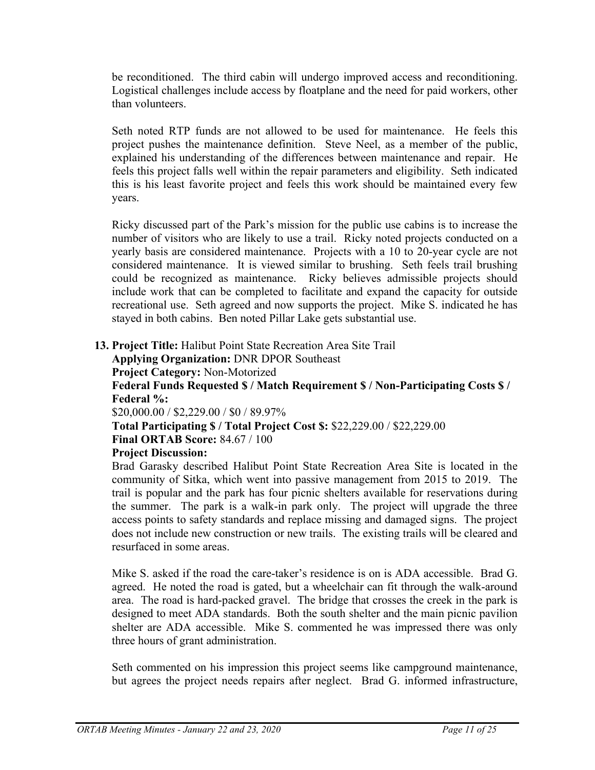be reconditioned. The third cabin will undergo improved access and reconditioning. Logistical challenges include access by floatplane and the need for paid workers, other than volunteers.

Seth noted RTP funds are not allowed to be used for maintenance. He feels this project pushes the maintenance definition. Steve Neel, as a member of the public, explained his understanding of the differences between maintenance and repair. He feels this project falls well within the repair parameters and eligibility. Seth indicated this is his least favorite project and feels this work should be maintained every few years.

Ricky discussed part of the Park's mission for the public use cabins is to increase the number of visitors who are likely to use a trail. Ricky noted projects conducted on a yearly basis are considered maintenance. Projects with a 10 to 20-year cycle are not considered maintenance. It is viewed similar to brushing. Seth feels trail brushing could be recognized as maintenance. Ricky believes admissible projects should include work that can be completed to facilitate and expand the capacity for outside recreational use. Seth agreed and now supports the project. Mike S. indicated he has stayed in both cabins. Ben noted Pillar Lake gets substantial use.

**13. Project Title:** Halibut Point State Recreation Area Site Trail

**Applying Organization:** DNR DPOR Southeast **Project Category:** Non-Motorized **Federal Funds Requested \$ / Match Requirement \$ / Non-Participating Costs \$ / Federal %:**

\$20,000.00 / \$2,229.00 / \$0 / 89.97%

**Total Participating \$ / Total Project Cost \$:** \$22,229.00 / \$22,229.00 **Final ORTAB Score:** 84.67 / 100

# **Project Discussion:**

Brad Garasky described Halibut Point State Recreation Area Site is located in the community of Sitka, which went into passive management from 2015 to 2019. The trail is popular and the park has four picnic shelters available for reservations during the summer. The park is a walk-in park only. The project will upgrade the three access points to safety standards and replace missing and damaged signs. The project does not include new construction or new trails. The existing trails will be cleared and resurfaced in some areas.

Mike S. asked if the road the care-taker's residence is on is ADA accessible. Brad G. agreed. He noted the road is gated, but a wheelchair can fit through the walk-around area. The road is hard-packed gravel. The bridge that crosses the creek in the park is designed to meet ADA standards. Both the south shelter and the main picnic pavilion shelter are ADA accessible. Mike S. commented he was impressed there was only three hours of grant administration.

Seth commented on his impression this project seems like campground maintenance, but agrees the project needs repairs after neglect. Brad G. informed infrastructure,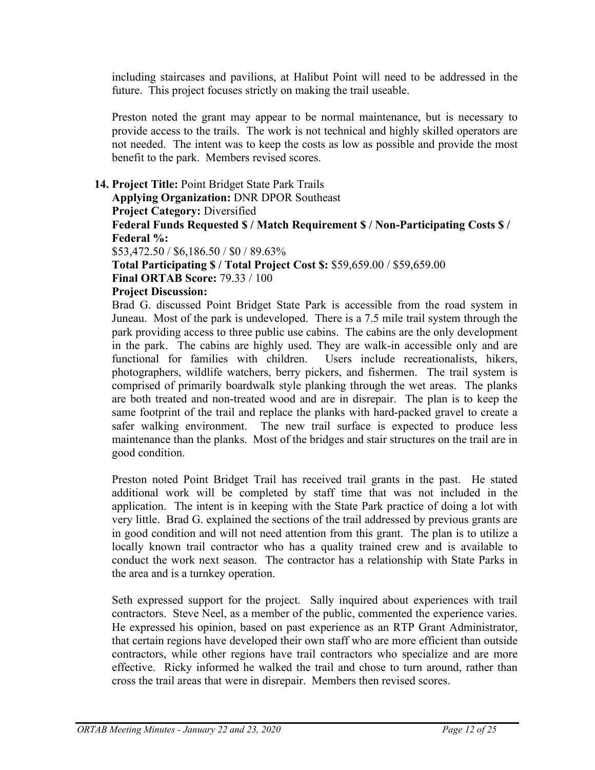including staircases and pavilions, at Halibut Point will need to be addressed in the future. This project focuses strictly on making the trail useable.

Preston noted the grant may appear to be normal maintenance, but is necessary to provide access to the trails. The work is not technical and highly skilled operators are not needed. The intent was to keep the costs as low as possible and provide the most benefit to the park. Members revised scores.

### **14. Project Title:** Point Bridget State Park Trails

**Applying Organization:** DNR DPOR Southeast

**Project Category:** Diversified

**Federal Funds Requested \$ / Match Requirement \$ / Non-Participating Costs \$ / Federal %:**

\$53,472.50 / \$6,186.50 / \$0 / 89.63%

**Total Participating \$ / Total Project Cost \$:** \$59,659.00 / \$59,659.00

**Final ORTAB Score:** 79.33 / 100

### **Project Discussion:**

Brad G. discussed Point Bridget State Park is accessible from the road system in Juneau. Most of the park is undeveloped. There is a 7.5 mile trail system through the park providing access to three public use cabins. The cabins are the only development in the park. The cabins are highly used. They are walk-in accessible only and are functional for families with children. Users include recreationalists, hikers, photographers, wildlife watchers, berry pickers, and fishermen. The trail system is comprised of primarily boardwalk style planking through the wet areas. The planks are both treated and non-treated wood and are in disrepair. The plan is to keep the same footprint of the trail and replace the planks with hard-packed gravel to create a safer walking environment. The new trail surface is expected to produce less maintenance than the planks. Most of the bridges and stair structures on the trail are in good condition.

Preston noted Point Bridget Trail has received trail grants in the past. He stated additional work will be completed by staff time that was not included in the application. The intent is in keeping with the State Park practice of doing a lot with very little. Brad G. explained the sections of the trail addressed by previous grants are in good condition and will not need attention from this grant. The plan is to utilize a locally known trail contractor who has a quality trained crew and is available to conduct the work next season. The contractor has a relationship with State Parks in the area and is a turnkey operation.

Seth expressed support for the project. Sally inquired about experiences with trail contractors. Steve Neel, as a member of the public, commented the experience varies. He expressed his opinion, based on past experience as an RTP Grant Administrator, that certain regions have developed their own staff who are more efficient than outside contractors, while other regions have trail contractors who specialize and are more effective. Ricky informed he walked the trail and chose to turn around, rather than cross the trail areas that were in disrepair. Members then revised scores.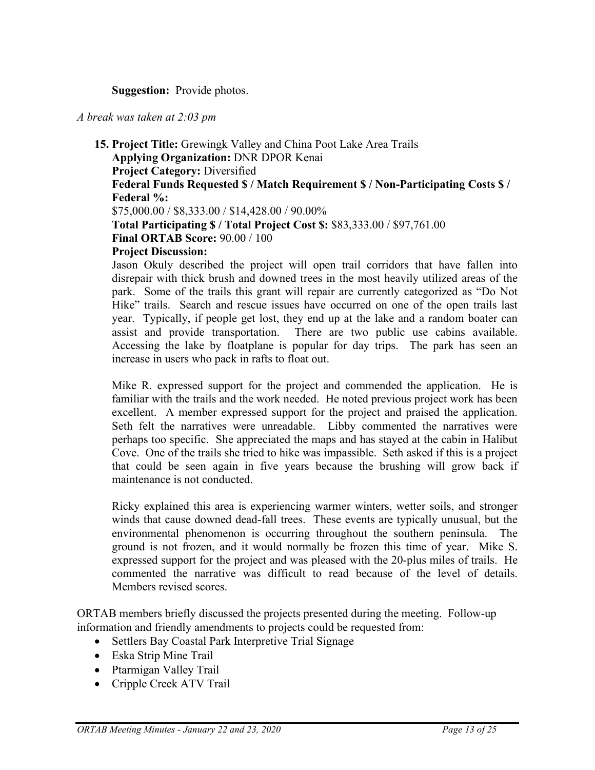### **Suggestion:** Provide photos.

#### *A break was taken at 2:03 pm*

**15. Project Title:** Grewingk Valley and China Poot Lake Area Trails **Applying Organization:** DNR DPOR Kenai **Project Category:** Diversified **Federal Funds Requested \$ / Match Requirement \$ / Non-Participating Costs \$ / Federal %:** \$75,000.00 / \$8,333.00 / \$14,428.00 / 90.00% **Total Participating \$ / Total Project Cost \$:** \$83,333.00 / \$97,761.00 **Final ORTAB Score:** 90.00 / 100 **Project Discussion:** Jason Okuly described the project will open trail corridors that have fallen into

disrepair with thick brush and downed trees in the most heavily utilized areas of the park. Some of the trails this grant will repair are currently categorized as "Do Not Hike" trails. Search and rescue issues have occurred on one of the open trails last year. Typically, if people get lost, they end up at the lake and a random boater can assist and provide transportation. There are two public use cabins available. Accessing the lake by floatplane is popular for day trips. The park has seen an increase in users who pack in rafts to float out.

Mike R. expressed support for the project and commended the application. He is familiar with the trails and the work needed. He noted previous project work has been excellent. A member expressed support for the project and praised the application. Seth felt the narratives were unreadable. Libby commented the narratives were perhaps too specific. She appreciated the maps and has stayed at the cabin in Halibut Cove. One of the trails she tried to hike was impassible. Seth asked if this is a project that could be seen again in five years because the brushing will grow back if maintenance is not conducted.

Ricky explained this area is experiencing warmer winters, wetter soils, and stronger winds that cause downed dead-fall trees. These events are typically unusual, but the environmental phenomenon is occurring throughout the southern peninsula. The ground is not frozen, and it would normally be frozen this time of year. Mike S. expressed support for the project and was pleased with the 20-plus miles of trails. He commented the narrative was difficult to read because of the level of details. Members revised scores.

ORTAB members briefly discussed the projects presented during the meeting. Follow-up information and friendly amendments to projects could be requested from:

- Settlers Bay Coastal Park Interpretive Trial Signage
- Eska Strip Mine Trail
- Ptarmigan Valley Trail
- Cripple Creek ATV Trail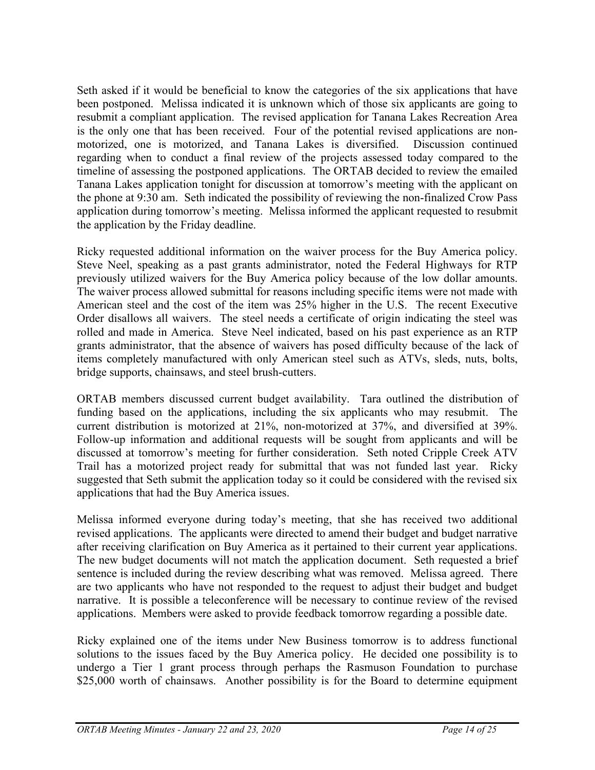Seth asked if it would be beneficial to know the categories of the six applications that have been postponed. Melissa indicated it is unknown which of those six applicants are going to resubmit a compliant application. The revised application for Tanana Lakes Recreation Area is the only one that has been received. Four of the potential revised applications are nonmotorized, one is motorized, and Tanana Lakes is diversified. Discussion continued regarding when to conduct a final review of the projects assessed today compared to the timeline of assessing the postponed applications. The ORTAB decided to review the emailed Tanana Lakes application tonight for discussion at tomorrow's meeting with the applicant on the phone at 9:30 am. Seth indicated the possibility of reviewing the non-finalized Crow Pass application during tomorrow's meeting. Melissa informed the applicant requested to resubmit the application by the Friday deadline.

Ricky requested additional information on the waiver process for the Buy America policy. Steve Neel, speaking as a past grants administrator, noted the Federal Highways for RTP previously utilized waivers for the Buy America policy because of the low dollar amounts. The waiver process allowed submittal for reasons including specific items were not made with American steel and the cost of the item was 25% higher in the U.S. The recent Executive Order disallows all waivers. The steel needs a certificate of origin indicating the steel was rolled and made in America. Steve Neel indicated, based on his past experience as an RTP grants administrator, that the absence of waivers has posed difficulty because of the lack of items completely manufactured with only American steel such as ATVs, sleds, nuts, bolts, bridge supports, chainsaws, and steel brush-cutters.

ORTAB members discussed current budget availability. Tara outlined the distribution of funding based on the applications, including the six applicants who may resubmit. The current distribution is motorized at 21%, non-motorized at 37%, and diversified at 39%. Follow-up information and additional requests will be sought from applicants and will be discussed at tomorrow's meeting for further consideration. Seth noted Cripple Creek ATV Trail has a motorized project ready for submittal that was not funded last year. Ricky suggested that Seth submit the application today so it could be considered with the revised six applications that had the Buy America issues.

Melissa informed everyone during today's meeting, that she has received two additional revised applications. The applicants were directed to amend their budget and budget narrative after receiving clarification on Buy America as it pertained to their current year applications. The new budget documents will not match the application document. Seth requested a brief sentence is included during the review describing what was removed. Melissa agreed. There are two applicants who have not responded to the request to adjust their budget and budget narrative. It is possible a teleconference will be necessary to continue review of the revised applications. Members were asked to provide feedback tomorrow regarding a possible date.

Ricky explained one of the items under New Business tomorrow is to address functional solutions to the issues faced by the Buy America policy. He decided one possibility is to undergo a Tier 1 grant process through perhaps the Rasmuson Foundation to purchase \$25,000 worth of chainsaws. Another possibility is for the Board to determine equipment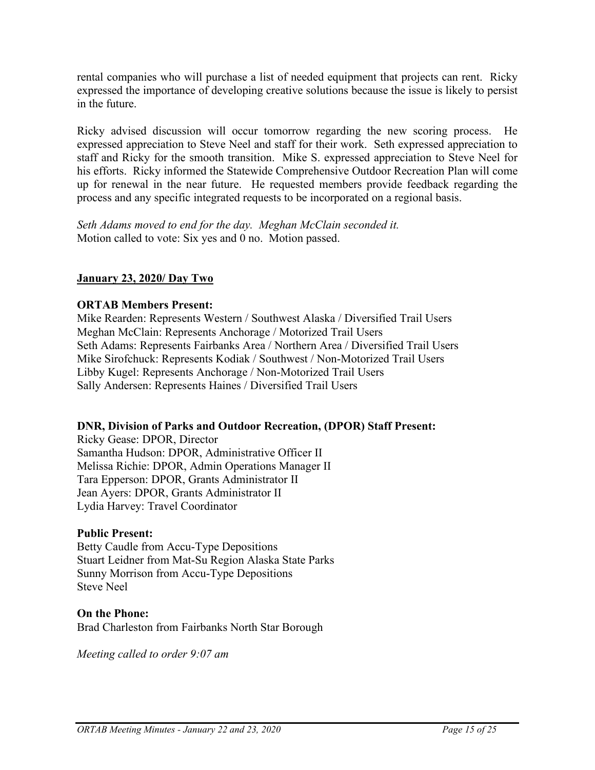rental companies who will purchase a list of needed equipment that projects can rent. Ricky expressed the importance of developing creative solutions because the issue is likely to persist in the future.

Ricky advised discussion will occur tomorrow regarding the new scoring process. He expressed appreciation to Steve Neel and staff for their work. Seth expressed appreciation to staff and Ricky for the smooth transition. Mike S. expressed appreciation to Steve Neel for his efforts. Ricky informed the Statewide Comprehensive Outdoor Recreation Plan will come up for renewal in the near future. He requested members provide feedback regarding the process and any specific integrated requests to be incorporated on a regional basis.

*Seth Adams moved to end for the day. Meghan McClain seconded it.* Motion called to vote: Six yes and 0 no. Motion passed.

# **January 23, 2020/ Day Two**

### **ORTAB Members Present:**

Mike Rearden: Represents Western / Southwest Alaska / Diversified Trail Users Meghan McClain: Represents Anchorage / Motorized Trail Users Seth Adams: Represents Fairbanks Area / Northern Area / Diversified Trail Users Mike Sirofchuck: Represents Kodiak / Southwest / Non-Motorized Trail Users Libby Kugel: Represents Anchorage / Non-Motorized Trail Users Sally Andersen: Represents Haines / Diversified Trail Users

#### **DNR, Division of Parks and Outdoor Recreation, (DPOR) Staff Present:**

Ricky Gease: DPOR, Director Samantha Hudson: DPOR, Administrative Officer II Melissa Richie: DPOR, Admin Operations Manager II Tara Epperson: DPOR, Grants Administrator II Jean Ayers: DPOR, Grants Administrator II Lydia Harvey: Travel Coordinator

#### **Public Present:**

Betty Caudle from Accu-Type Depositions Stuart Leidner from Mat-Su Region Alaska State Parks Sunny Morrison from Accu-Type Depositions Steve Neel

#### **On the Phone:**

Brad Charleston from Fairbanks North Star Borough

*Meeting called to order 9:07 am*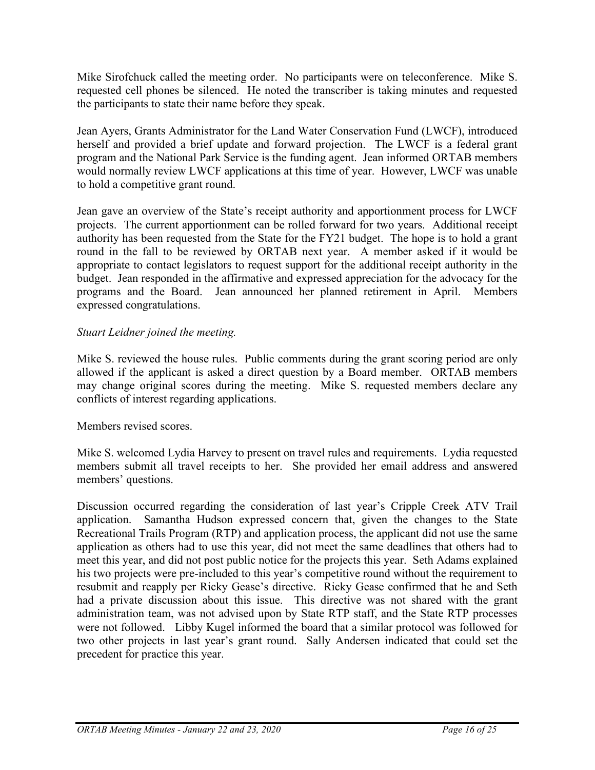Mike Sirofchuck called the meeting order. No participants were on teleconference. Mike S. requested cell phones be silenced. He noted the transcriber is taking minutes and requested the participants to state their name before they speak.

Jean Ayers, Grants Administrator for the Land Water Conservation Fund (LWCF), introduced herself and provided a brief update and forward projection. The LWCF is a federal grant program and the National Park Service is the funding agent. Jean informed ORTAB members would normally review LWCF applications at this time of year. However, LWCF was unable to hold a competitive grant round.

Jean gave an overview of the State's receipt authority and apportionment process for LWCF projects. The current apportionment can be rolled forward for two years. Additional receipt authority has been requested from the State for the FY21 budget. The hope is to hold a grant round in the fall to be reviewed by ORTAB next year. A member asked if it would be appropriate to contact legislators to request support for the additional receipt authority in the budget. Jean responded in the affirmative and expressed appreciation for the advocacy for the programs and the Board. Jean announced her planned retirement in April. Members expressed congratulations.

# *Stuart Leidner joined the meeting.*

Mike S. reviewed the house rules. Public comments during the grant scoring period are only allowed if the applicant is asked a direct question by a Board member. ORTAB members may change original scores during the meeting. Mike S. requested members declare any conflicts of interest regarding applications.

# Members revised scores.

Mike S. welcomed Lydia Harvey to present on travel rules and requirements. Lydia requested members submit all travel receipts to her. She provided her email address and answered members' questions.

Discussion occurred regarding the consideration of last year's Cripple Creek ATV Trail application. Samantha Hudson expressed concern that, given the changes to the State Recreational Trails Program (RTP) and application process, the applicant did not use the same application as others had to use this year, did not meet the same deadlines that others had to meet this year, and did not post public notice for the projects this year. Seth Adams explained his two projects were pre-included to this year's competitive round without the requirement to resubmit and reapply per Ricky Gease's directive. Ricky Gease confirmed that he and Seth had a private discussion about this issue. This directive was not shared with the grant administration team, was not advised upon by State RTP staff, and the State RTP processes were not followed. Libby Kugel informed the board that a similar protocol was followed for two other projects in last year's grant round. Sally Andersen indicated that could set the precedent for practice this year.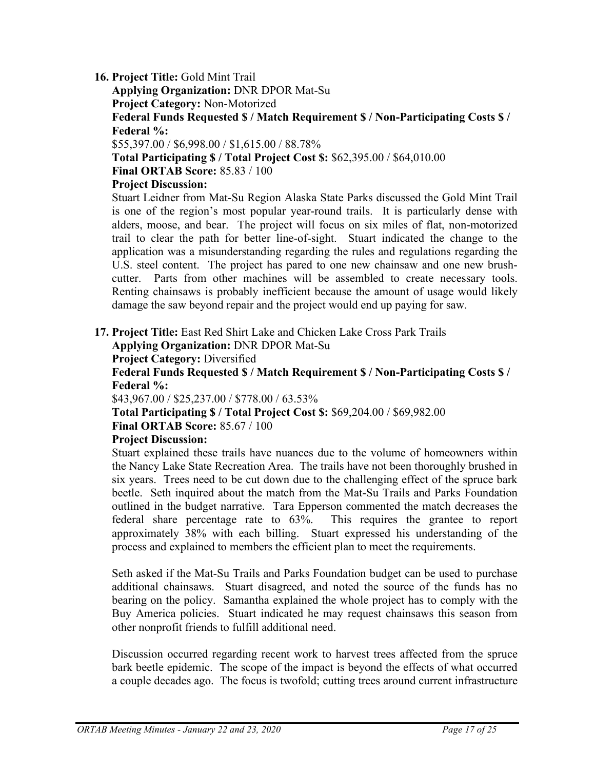# **16. Project Title:** Gold Mint Trail

**Applying Organization:** DNR DPOR Mat-Su

**Project Category:** Non-Motorized

**Federal Funds Requested \$ / Match Requirement \$ / Non-Participating Costs \$ / Federal %:**

\$55,397.00 / \$6,998.00 / \$1,615.00 / 88.78%

**Total Participating \$ / Total Project Cost \$:** \$62,395.00 / \$64,010.00

**Final ORTAB Score:** 85.83 / 100

# **Project Discussion:**

Stuart Leidner from Mat-Su Region Alaska State Parks discussed the Gold Mint Trail is one of the region's most popular year-round trails. It is particularly dense with alders, moose, and bear. The project will focus on six miles of flat, non-motorized trail to clear the path for better line-of-sight. Stuart indicated the change to the application was a misunderstanding regarding the rules and regulations regarding the U.S. steel content. The project has pared to one new chainsaw and one new brushcutter. Parts from other machines will be assembled to create necessary tools. Renting chainsaws is probably inefficient because the amount of usage would likely damage the saw beyond repair and the project would end up paying for saw.

**17. Project Title:** East Red Shirt Lake and Chicken Lake Cross Park Trails

**Applying Organization:** DNR DPOR Mat-Su

**Project Category:** Diversified

**Federal Funds Requested \$ / Match Requirement \$ / Non-Participating Costs \$ / Federal %:**

\$43,967.00 / \$25,237.00 / \$778.00 / 63.53%

**Total Participating \$ / Total Project Cost \$:** \$69,204.00 / \$69,982.00 **Final ORTAB Score:** 85.67 / 100

# **Project Discussion:**

Stuart explained these trails have nuances due to the volume of homeowners within the Nancy Lake State Recreation Area. The trails have not been thoroughly brushed in six years. Trees need to be cut down due to the challenging effect of the spruce bark beetle. Seth inquired about the match from the Mat-Su Trails and Parks Foundation outlined in the budget narrative. Tara Epperson commented the match decreases the federal share percentage rate to 63%. This requires the grantee to report approximately 38% with each billing. Stuart expressed his understanding of the process and explained to members the efficient plan to meet the requirements.

Seth asked if the Mat-Su Trails and Parks Foundation budget can be used to purchase additional chainsaws. Stuart disagreed, and noted the source of the funds has no bearing on the policy. Samantha explained the whole project has to comply with the Buy America policies. Stuart indicated he may request chainsaws this season from other nonprofit friends to fulfill additional need.

Discussion occurred regarding recent work to harvest trees affected from the spruce bark beetle epidemic. The scope of the impact is beyond the effects of what occurred a couple decades ago. The focus is twofold; cutting trees around current infrastructure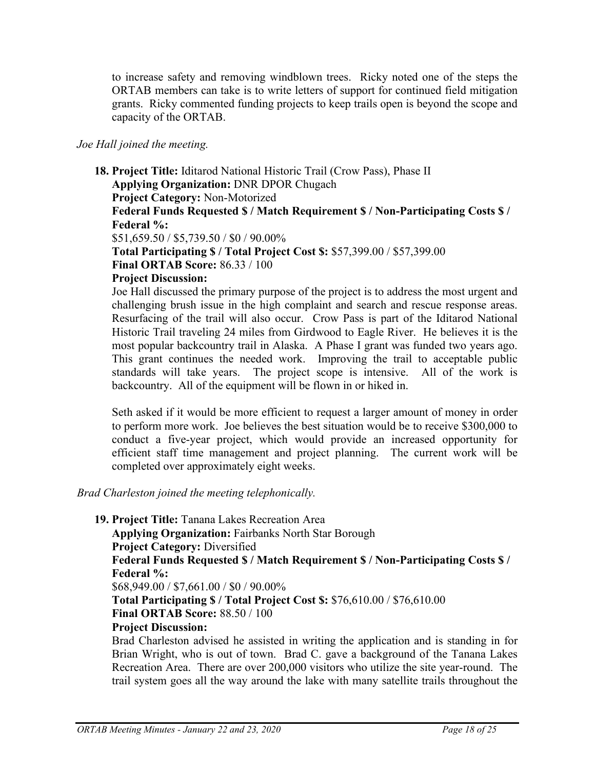to increase safety and removing windblown trees. Ricky noted one of the steps the ORTAB members can take is to write letters of support for continued field mitigation grants. Ricky commented funding projects to keep trails open is beyond the scope and capacity of the ORTAB.

### *Joe Hall joined the meeting.*

**18. Project Title:** Iditarod National Historic Trail (Crow Pass), Phase II **Applying Organization:** DNR DPOR Chugach **Project Category:** Non-Motorized **Federal Funds Requested \$ / Match Requirement \$ / Non-Participating Costs \$ / Federal %:** \$51,659.50 / \$5,739.50 / \$0 / 90.00% **Total Participating \$ / Total Project Cost \$:** \$57,399.00 / \$57,399.00 **Final ORTAB Score:** 86.33 / 100 **Project Discussion:**  Joe Hall discussed the primary purpose of the project is to address the most urgent and challenging brush issue in the high complaint and search and rescue response areas.

Resurfacing of the trail will also occur. Crow Pass is part of the Iditarod National Historic Trail traveling 24 miles from Girdwood to Eagle River. He believes it is the most popular backcountry trail in Alaska. A Phase I grant was funded two years ago. This grant continues the needed work. Improving the trail to acceptable public standards will take years. The project scope is intensive. All of the work is backcountry. All of the equipment will be flown in or hiked in.

Seth asked if it would be more efficient to request a larger amount of money in order to perform more work. Joe believes the best situation would be to receive \$300,000 to conduct a five-year project, which would provide an increased opportunity for efficient staff time management and project planning. The current work will be completed over approximately eight weeks.

*Brad Charleston joined the meeting telephonically.*

**19. Project Title:** Tanana Lakes Recreation Area

**Applying Organization:** Fairbanks North Star Borough **Project Category:** Diversified **Federal Funds Requested \$ / Match Requirement \$ / Non-Participating Costs \$ / Federal %:** \$68,949.00 / \$7,661.00 / \$0 / 90.00% **Total Participating \$ / Total Project Cost \$:** \$76,610.00 / \$76,610.00

**Final ORTAB Score:** 88.50 / 100

**Project Discussion:** 

Brad Charleston advised he assisted in writing the application and is standing in for Brian Wright, who is out of town. Brad C. gave a background of the Tanana Lakes Recreation Area. There are over 200,000 visitors who utilize the site year-round. The trail system goes all the way around the lake with many satellite trails throughout the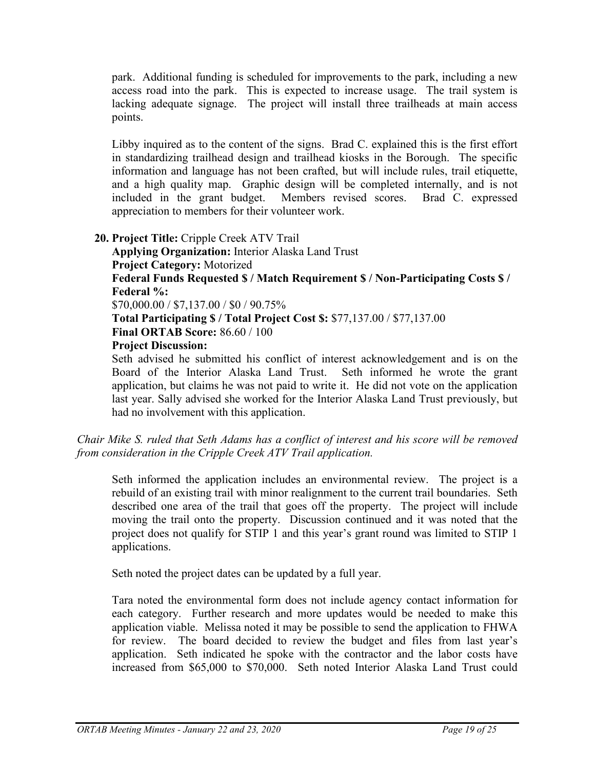park. Additional funding is scheduled for improvements to the park, including a new access road into the park. This is expected to increase usage. The trail system is lacking adequate signage. The project will install three trailheads at main access points.

Libby inquired as to the content of the signs. Brad C. explained this is the first effort in standardizing trailhead design and trailhead kiosks in the Borough. The specific information and language has not been crafted, but will include rules, trail etiquette, and a high quality map. Graphic design will be completed internally, and is not included in the grant budget. Members revised scores. Brad C. expressed appreciation to members for their volunteer work.

**20. Project Title:** Cripple Creek ATV Trail **Applying Organization:** Interior Alaska Land Trust **Project Category:** Motorized **Federal Funds Requested \$ / Match Requirement \$ / Non-Participating Costs \$ / Federal %:** \$70,000.00 / \$7,137.00 / \$0 / 90.75% **Total Participating \$ / Total Project Cost \$:** \$77,137.00 / \$77,137.00 **Final ORTAB Score:** 86.60 / 100 **Project Discussion:**  Seth advised he submitted his conflict of interest acknowledgement and is on the

Board of the Interior Alaska Land Trust. Seth informed he wrote the grant application, but claims he was not paid to write it. He did not vote on the application last year. Sally advised she worked for the Interior Alaska Land Trust previously, but had no involvement with this application.

*Chair Mike S. ruled that Seth Adams has a conflict of interest and his score will be removed from consideration in the Cripple Creek ATV Trail application.*

Seth informed the application includes an environmental review. The project is a rebuild of an existing trail with minor realignment to the current trail boundaries. Seth described one area of the trail that goes off the property. The project will include moving the trail onto the property. Discussion continued and it was noted that the project does not qualify for STIP 1 and this year's grant round was limited to STIP 1 applications.

Seth noted the project dates can be updated by a full year.

Tara noted the environmental form does not include agency contact information for each category. Further research and more updates would be needed to make this application viable. Melissa noted it may be possible to send the application to FHWA for review. The board decided to review the budget and files from last year's application. Seth indicated he spoke with the contractor and the labor costs have increased from \$65,000 to \$70,000. Seth noted Interior Alaska Land Trust could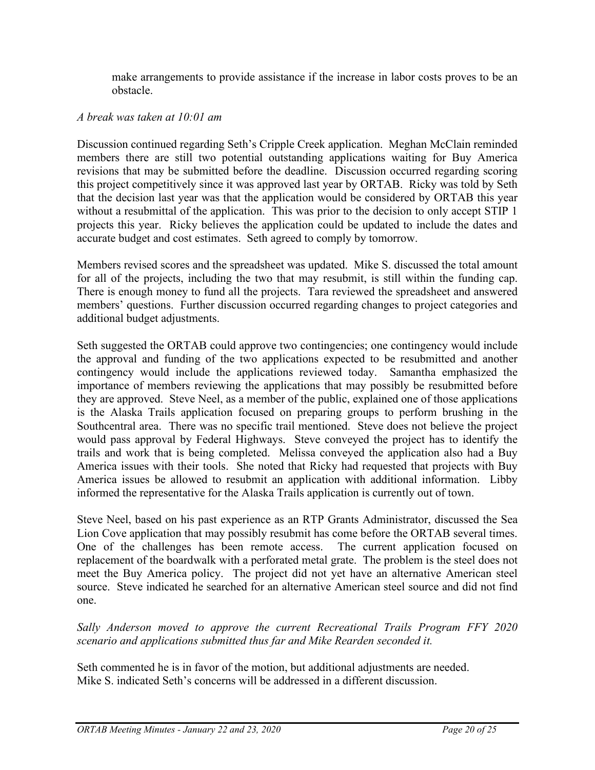make arrangements to provide assistance if the increase in labor costs proves to be an obstacle.

### *A break was taken at 10:01 am*

Discussion continued regarding Seth's Cripple Creek application. Meghan McClain reminded members there are still two potential outstanding applications waiting for Buy America revisions that may be submitted before the deadline. Discussion occurred regarding scoring this project competitively since it was approved last year by ORTAB. Ricky was told by Seth that the decision last year was that the application would be considered by ORTAB this year without a resubmittal of the application. This was prior to the decision to only accept STIP 1 projects this year. Ricky believes the application could be updated to include the dates and accurate budget and cost estimates. Seth agreed to comply by tomorrow.

Members revised scores and the spreadsheet was updated. Mike S. discussed the total amount for all of the projects, including the two that may resubmit, is still within the funding cap. There is enough money to fund all the projects. Tara reviewed the spreadsheet and answered members' questions. Further discussion occurred regarding changes to project categories and additional budget adjustments.

Seth suggested the ORTAB could approve two contingencies; one contingency would include the approval and funding of the two applications expected to be resubmitted and another contingency would include the applications reviewed today. Samantha emphasized the importance of members reviewing the applications that may possibly be resubmitted before they are approved. Steve Neel, as a member of the public, explained one of those applications is the Alaska Trails application focused on preparing groups to perform brushing in the Southcentral area. There was no specific trail mentioned. Steve does not believe the project would pass approval by Federal Highways. Steve conveyed the project has to identify the trails and work that is being completed. Melissa conveyed the application also had a Buy America issues with their tools. She noted that Ricky had requested that projects with Buy America issues be allowed to resubmit an application with additional information. Libby informed the representative for the Alaska Trails application is currently out of town.

Steve Neel, based on his past experience as an RTP Grants Administrator, discussed the Sea Lion Cove application that may possibly resubmit has come before the ORTAB several times. One of the challenges has been remote access. The current application focused on replacement of the boardwalk with a perforated metal grate. The problem is the steel does not meet the Buy America policy. The project did not yet have an alternative American steel source. Steve indicated he searched for an alternative American steel source and did not find one.

*Sally Anderson moved to approve the current Recreational Trails Program FFY 2020 scenario and applications submitted thus far and Mike Rearden seconded it.*

Seth commented he is in favor of the motion, but additional adjustments are needed. Mike S. indicated Seth's concerns will be addressed in a different discussion.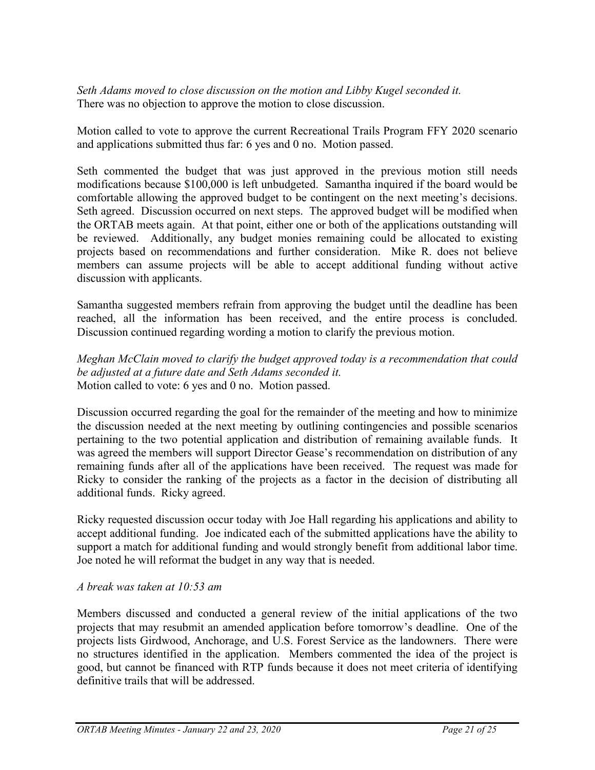*Seth Adams moved to close discussion on the motion and Libby Kugel seconded it.* There was no objection to approve the motion to close discussion.

Motion called to vote to approve the current Recreational Trails Program FFY 2020 scenario and applications submitted thus far: 6 yes and 0 no. Motion passed.

Seth commented the budget that was just approved in the previous motion still needs modifications because \$100,000 is left unbudgeted. Samantha inquired if the board would be comfortable allowing the approved budget to be contingent on the next meeting's decisions. Seth agreed. Discussion occurred on next steps. The approved budget will be modified when the ORTAB meets again. At that point, either one or both of the applications outstanding will be reviewed. Additionally, any budget monies remaining could be allocated to existing projects based on recommendations and further consideration. Mike R. does not believe members can assume projects will be able to accept additional funding without active discussion with applicants.

Samantha suggested members refrain from approving the budget until the deadline has been reached, all the information has been received, and the entire process is concluded. Discussion continued regarding wording a motion to clarify the previous motion.

*Meghan McClain moved to clarify the budget approved today is a recommendation that could be adjusted at a future date and Seth Adams seconded it.* Motion called to vote: 6 yes and 0 no. Motion passed.

Discussion occurred regarding the goal for the remainder of the meeting and how to minimize the discussion needed at the next meeting by outlining contingencies and possible scenarios pertaining to the two potential application and distribution of remaining available funds. It was agreed the members will support Director Gease's recommendation on distribution of any remaining funds after all of the applications have been received. The request was made for Ricky to consider the ranking of the projects as a factor in the decision of distributing all additional funds. Ricky agreed.

Ricky requested discussion occur today with Joe Hall regarding his applications and ability to accept additional funding. Joe indicated each of the submitted applications have the ability to support a match for additional funding and would strongly benefit from additional labor time. Joe noted he will reformat the budget in any way that is needed.

# *A break was taken at 10:53 am*

Members discussed and conducted a general review of the initial applications of the two projects that may resubmit an amended application before tomorrow's deadline. One of the projects lists Girdwood, Anchorage, and U.S. Forest Service as the landowners. There were no structures identified in the application. Members commented the idea of the project is good, but cannot be financed with RTP funds because it does not meet criteria of identifying definitive trails that will be addressed.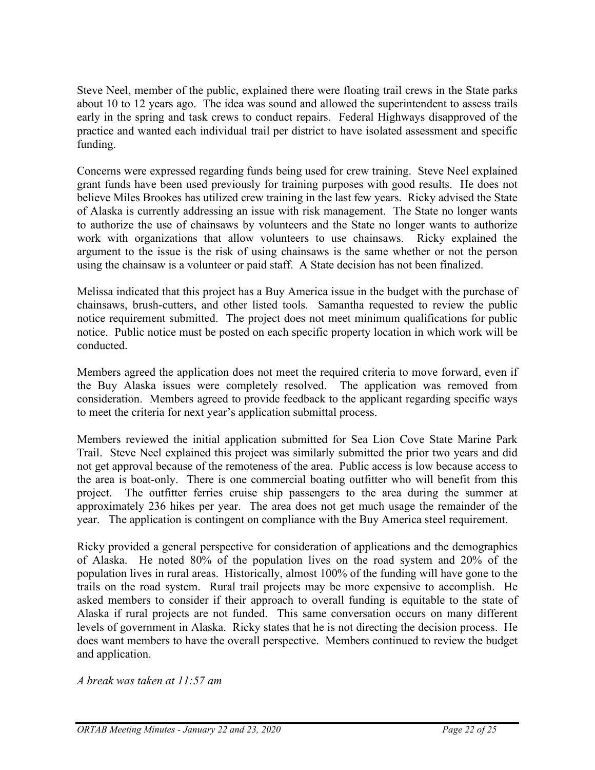Steve Neel, member of the public, explained there were floating trail crews in the State parks about 10 to 12 years ago. The idea was sound and allowed the superintendent to assess trails early in the spring and task crews to conduct repairs. Federal Highways disapproved of the practice and wanted each individual trail per district to have isolated assessment and specific funding.

Concerns were expressed regarding funds being used for crew training. Steve Neel explained grant funds have been used previously for training purposes with good results. He does not believe Miles Brookes has utilized crew training in the last few years. Ricky advised the State of Alaska is currently addressing an issue with risk management. The State no longer wants to authorize the use of chainsaws by volunteers and the State no longer wants to authorize work with organizations that allow volunteers to use chainsaws. Ricky explained the argument to the issue is the risk of using chainsaws is the same whether or not the person using the chainsaw is a volunteer or paid staff. A State decision has not been finalized.

Melissa indicated that this project has a Buy America issue in the budget with the purchase of chainsaws, brush-cutters, and other listed tools. Samantha requested to review the public notice requirement submitted. The project does not meet minimum qualifications for public notice. Public notice must be posted on each specific property location in which work will be conducted.

Members agreed the application does not meet the required criteria to move forward, even if the Buy Alaska issues were completely resolved. The application was removed from consideration. Members agreed to provide feedback to the applicant regarding specific ways to meet the criteria for next year's application submittal process.

Members reviewed the initial application submitted for Sea Lion Cove State Marine Park Trail. Steve Neel explained this project was similarly submitted the prior two years and did not get approval because of the remoteness of the area. Public access is low because access to the area is boat-only. There is one commercial boating outfitter who will benefit from this project. The outfitter ferries cruise ship passengers to the area during the summer at approximately 236 hikes per year. The area does not get much usage the remainder of the year. The application is contingent on compliance with the Buy America steel requirement.

Ricky provided a general perspective for consideration of applications and the demographics of Alaska. He noted 80% of the population lives on the road system and 20% of the population lives in rural areas. Historically, almost 100% of the funding will have gone to the trails on the road system. Rural trail projects may be more expensive to accomplish. He asked members to consider if their approach to overall funding is equitable to the state of Alaska if rural projects are not funded. This same conversation occurs on many different levels of government in Alaska. Ricky states that he is not directing the decision process. He does want members to have the overall perspective. Members continued to review the budget and application.

*A break was taken at 11:57 am*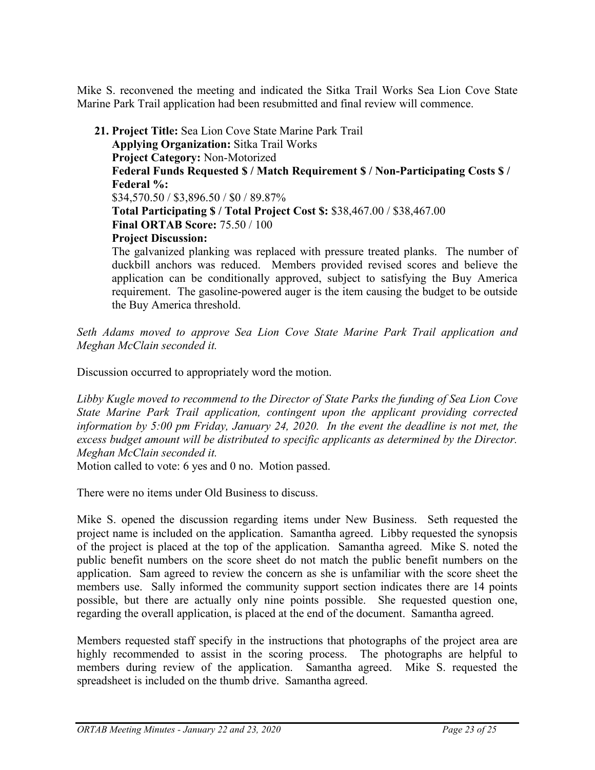Mike S. reconvened the meeting and indicated the Sitka Trail Works Sea Lion Cove State Marine Park Trail application had been resubmitted and final review will commence.

**21. Project Title:** Sea Lion Cove State Marine Park Trail **Applying Organization:** Sitka Trail Works **Project Category:** Non-Motorized **Federal Funds Requested \$ / Match Requirement \$ / Non-Participating Costs \$ / Federal %:** \$34,570.50 / \$3,896.50 / \$0 / 89.87% **Total Participating \$ / Total Project Cost \$:** \$38,467.00 / \$38,467.00 **Final ORTAB Score:** 75.50 / 100 **Project Discussion:**  The galvanized planking was replaced with pressure treated planks. The number of duckbill anchors was reduced. Members provided revised scores and believe the

application can be conditionally approved, subject to satisfying the Buy America requirement. The gasoline-powered auger is the item causing the budget to be outside the Buy America threshold.

*Seth Adams moved to approve Sea Lion Cove State Marine Park Trail application and Meghan McClain seconded it.*

Discussion occurred to appropriately word the motion.

*Libby Kugle moved to recommend to the Director of State Parks the funding of Sea Lion Cove State Marine Park Trail application, contingent upon the applicant providing corrected information by 5:00 pm Friday, January 24, 2020. In the event the deadline is not met, the excess budget amount will be distributed to specific applicants as determined by the Director. Meghan McClain seconded it.*

Motion called to vote: 6 yes and 0 no. Motion passed.

There were no items under Old Business to discuss.

Mike S. opened the discussion regarding items under New Business. Seth requested the project name is included on the application. Samantha agreed. Libby requested the synopsis of the project is placed at the top of the application. Samantha agreed. Mike S. noted the public benefit numbers on the score sheet do not match the public benefit numbers on the application. Sam agreed to review the concern as she is unfamiliar with the score sheet the members use. Sally informed the community support section indicates there are 14 points possible, but there are actually only nine points possible. She requested question one, regarding the overall application, is placed at the end of the document. Samantha agreed.

Members requested staff specify in the instructions that photographs of the project area are highly recommended to assist in the scoring process. The photographs are helpful to members during review of the application. Samantha agreed. Mike S. requested the spreadsheet is included on the thumb drive. Samantha agreed.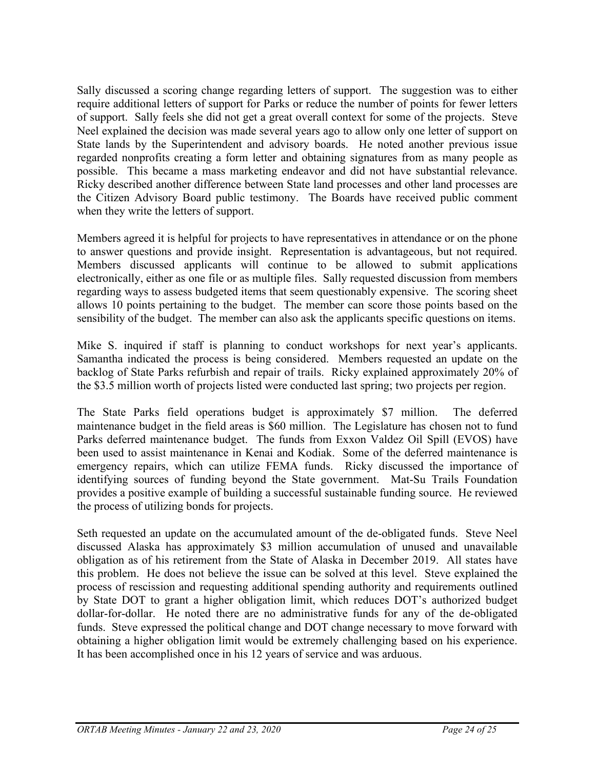Sally discussed a scoring change regarding letters of support. The suggestion was to either require additional letters of support for Parks or reduce the number of points for fewer letters of support. Sally feels she did not get a great overall context for some of the projects. Steve Neel explained the decision was made several years ago to allow only one letter of support on State lands by the Superintendent and advisory boards. He noted another previous issue regarded nonprofits creating a form letter and obtaining signatures from as many people as possible. This became a mass marketing endeavor and did not have substantial relevance. Ricky described another difference between State land processes and other land processes are the Citizen Advisory Board public testimony. The Boards have received public comment when they write the letters of support.

Members agreed it is helpful for projects to have representatives in attendance or on the phone to answer questions and provide insight. Representation is advantageous, but not required. Members discussed applicants will continue to be allowed to submit applications electronically, either as one file or as multiple files. Sally requested discussion from members regarding ways to assess budgeted items that seem questionably expensive. The scoring sheet allows 10 points pertaining to the budget. The member can score those points based on the sensibility of the budget. The member can also ask the applicants specific questions on items.

Mike S. inquired if staff is planning to conduct workshops for next year's applicants. Samantha indicated the process is being considered. Members requested an update on the backlog of State Parks refurbish and repair of trails. Ricky explained approximately 20% of the \$3.5 million worth of projects listed were conducted last spring; two projects per region.

The State Parks field operations budget is approximately \$7 million. The deferred maintenance budget in the field areas is \$60 million. The Legislature has chosen not to fund Parks deferred maintenance budget. The funds from Exxon Valdez Oil Spill (EVOS) have been used to assist maintenance in Kenai and Kodiak. Some of the deferred maintenance is emergency repairs, which can utilize FEMA funds. Ricky discussed the importance of identifying sources of funding beyond the State government. Mat-Su Trails Foundation provides a positive example of building a successful sustainable funding source. He reviewed the process of utilizing bonds for projects.

Seth requested an update on the accumulated amount of the de-obligated funds. Steve Neel discussed Alaska has approximately \$3 million accumulation of unused and unavailable obligation as of his retirement from the State of Alaska in December 2019. All states have this problem. He does not believe the issue can be solved at this level. Steve explained the process of rescission and requesting additional spending authority and requirements outlined by State DOT to grant a higher obligation limit, which reduces DOT's authorized budget dollar-for-dollar. He noted there are no administrative funds for any of the de-obligated funds. Steve expressed the political change and DOT change necessary to move forward with obtaining a higher obligation limit would be extremely challenging based on his experience. It has been accomplished once in his 12 years of service and was arduous.